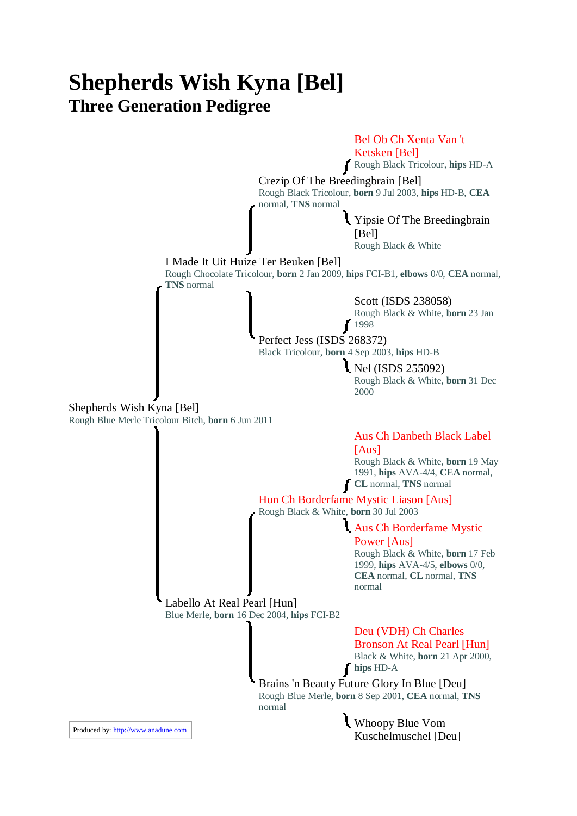## **Shepherds Wish Kyna [Bel] Three Generation Pedigree**